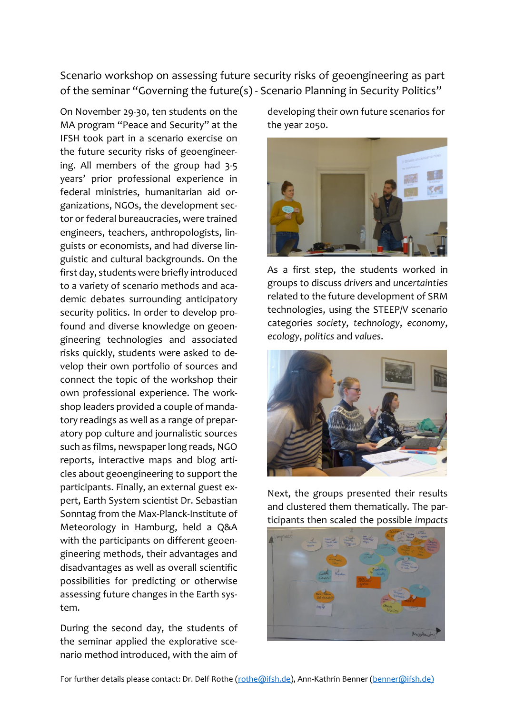Scenario workshop on assessing future security risks of geoengineering as part of the seminar "Governing the future(s) - Scenario Planning in Security Politics"

On November 29-30, ten students on the MA program "Peace and Security" at the IFSH took part in a scenario exercise on the future security risks of geoengineering. All members of the group had 3-5 years' prior professional experience in federal ministries, humanitarian aid organizations, NGOs, the development sector or federal bureaucracies, were trained engineers, teachers, anthropologists, linguists or economists, and had diverse linguistic and cultural backgrounds. On the first day, students were briefly introduced to a variety of scenario methods and academic debates surrounding anticipatory security politics. In order to develop profound and diverse knowledge on geoengineering technologies and associated risks quickly, students were asked to develop their own portfolio of sources and connect the topic of the workshop their own professional experience. The workshop leaders provided a couple of mandatory readings as well as a range of preparatory pop culture and journalistic sources such as films, newspaper long reads, NGO reports, interactive maps and blog articles about geoengineering to support the participants. Finally, an external guest expert, Earth System scientist Dr. Sebastian Sonntag from the Max-Planck-Institute of Meteorology in Hamburg, held a Q&A with the participants on different geoengineering methods, their advantages and disadvantages as well as overall scientific possibilities for predicting or otherwise assessing future changes in the Earth system.

During the second day, the students of the seminar applied the explorative scenario method introduced, with the aim of developing their own future scenarios for the year 2050.



As a first step, the students worked in groups to discuss *drivers* and *uncertainties*  related to the future development of SRM technologies, using the STEEP/V scenario categories *society*, *technology*, *economy*, *ecology*, *politics* and *values*.



Next, the groups presented their results and clustered them thematically. The participants then scaled the possible *impacts*